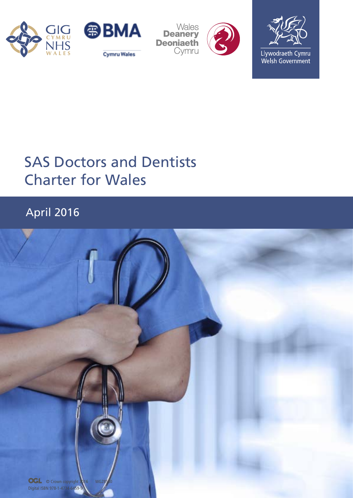





Llywodraeth Cymru Welsh Government

# SAS Doctors and Dentists Charter for Wales

# April 2016

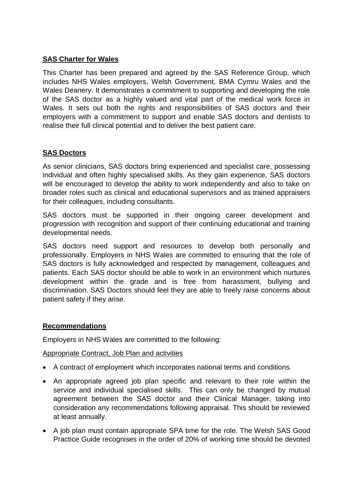# **SAS Charter for Wales**

This Charter has been prepared and agreed by the SAS Reference Group, which includes NHS Wales employers, Welsh Government, BMA Cymru Wales and the Wales Deanery. It demonstrates a commitment to supporting and developing the role of the SAS doctor as a highly valued and vital part of the medical work force in Wales. It sets out both the rights and responsibilities of SAS doctors and their employers with a commitment to support and enable SAS doctors and dentists to realise their full clinical potential and to deliver the best patient care.

## **SAS Doctors**

As senior clinicians, SAS doctors bring experienced and specialist care, possessing individual and often highly specialised skills. As they gain experience, SAS doctors will be encouraged to develop the ability to work independently and also to take on broader roles such as clinical and educational supervisors and as trained appraisers for their colleagues, including consultants.

SAS doctors must be supported in their ongoing career development and progression with recognition and support of their continuing educational and training developmental needs.

SAS doctors need support and resources to develop both personally and professionally. Employers in NHS Wales are committed to ensuring that the role of SAS doctors is fully acknowledged and respected by management, colleagues and patients. Each SAS doctor should be able to work in an environment which nurtures development within the grade and is free from harassment, bullying and discrimination. SAS Doctors should feel they are able to freely raise concerns about patient safety if they arise.

#### **Recommendations**

Employers in NHS Wales are committed to the following:

Appropriate Contract, Job Plan and activities

- A contract of employment which incorporates national terms and conditions.
- An appropriate agreed job plan specific and relevant to their role within the service and individual specialised skills. This can only be changed by mutual agreement between the SAS doctor and their Clinical Manager, taking into consideration any recommendations following appraisal. This should be reviewed at least annually.
- A job plan must contain appropriate SPA time for the role. The Welsh SAS Good Practice Guide recognises in the order of 20% of working time should be devoted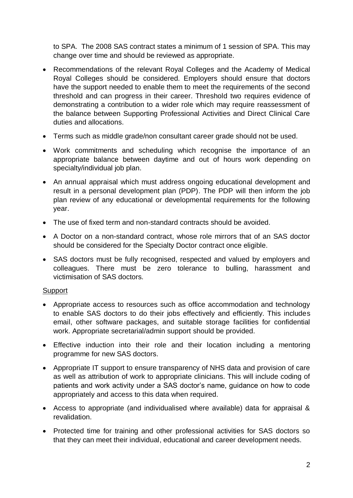to SPA. The 2008 SAS contract states a minimum of 1 session of SPA. This may change over time and should be reviewed as appropriate.

- Recommendations of the relevant Royal Colleges and the Academy of Medical Royal Colleges should be considered. Employers should ensure that doctors have the support needed to enable them to meet the requirements of the second threshold and can progress in their career. Threshold two requires evidence of demonstrating a contribution to a wider role which may require reassessment of the balance between Supporting Professional Activities and Direct Clinical Care duties and allocations.
- Terms such as middle grade/non consultant career grade should not be used.
- Work commitments and scheduling which recognise the importance of an appropriate balance between daytime and out of hours work depending on specialty/individual job plan.
- An annual appraisal which must address ongoing educational development and result in a personal development plan (PDP). The PDP will then inform the job plan review of any educational or developmental requirements for the following year.
- The use of fixed term and non-standard contracts should be avoided.
- A Doctor on a non-standard contract, whose role mirrors that of an SAS doctor should be considered for the Specialty Doctor contract once eligible.
- SAS doctors must be fully recognised, respected and valued by employers and colleagues. There must be zero tolerance to bulling, harassment and victimisation of SAS doctors.

#### **Support**

- Appropriate access to resources such as office accommodation and technology to enable SAS doctors to do their jobs effectively and efficiently. This includes email, other software packages, and suitable storage facilities for confidential work. Appropriate secretarial/admin support should be provided.
- Effective induction into their role and their location including a mentoring programme for new SAS doctors.
- Appropriate IT support to ensure transparency of NHS data and provision of care as well as attribution of work to appropriate clinicians. This will include coding of patients and work activity under a SAS doctor's name, guidance on how to code appropriately and access to this data when required.
- Access to appropriate (and individualised where available) data for appraisal & revalidation.
- Protected time for training and other professional activities for SAS doctors so that they can meet their individual, educational and career development needs.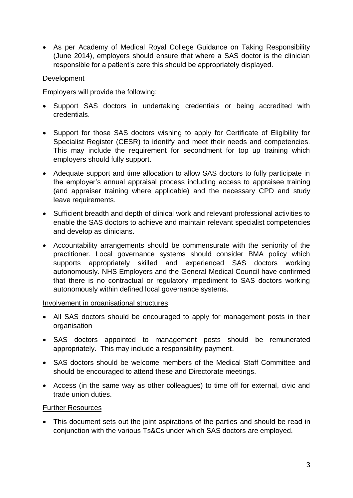As per Academy of Medical Royal College Guidance on Taking Responsibility (June 2014), employers should ensure that where a SAS doctor is the clinician responsible for a patient's care this should be appropriately displayed.

## **Development**

Employers will provide the following:

- Support SAS doctors in undertaking credentials or being accredited with credentials.
- Support for those SAS doctors wishing to apply for Certificate of Eligibility for Specialist Register (CESR) to identify and meet their needs and competencies. This may include the requirement for secondment for top up training which employers should fully support.
- Adequate support and time allocation to allow SAS doctors to fully participate in the employer's annual appraisal process including access to appraisee training (and appraiser training where applicable) and the necessary CPD and study leave requirements.
- Sufficient breadth and depth of clinical work and relevant professional activities to enable the SAS doctors to achieve and maintain relevant specialist competencies and develop as clinicians.
- Accountability arrangements should be commensurate with the seniority of the practitioner. Local governance systems should consider BMA policy which supports appropriately skilled and experienced SAS doctors working autonomously. NHS Employers and the General Medical Council have confirmed that there is no contractual or regulatory impediment to SAS doctors working autonomously within defined local governance systems.

#### Involvement in organisational structures

- All SAS doctors should be encouraged to apply for management posts in their organisation
- SAS doctors appointed to management posts should be remunerated appropriately. This may include a responsibility payment.
- SAS doctors should be welcome members of the Medical Staff Committee and should be encouraged to attend these and Directorate meetings.
- Access (in the same way as other colleagues) to time off for external, civic and trade union duties.

#### Further Resources

• This document sets out the joint aspirations of the parties and should be read in conjunction with the various Ts&Cs under which SAS doctors are employed.